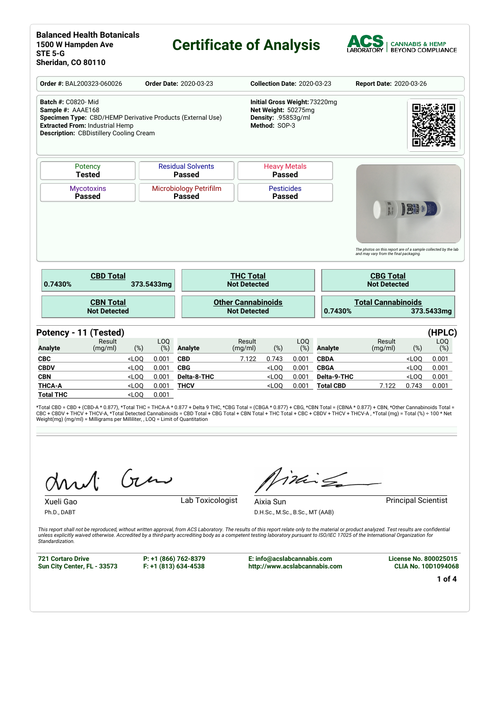# **Certificate of Analysis**



| Order #: BAL200323-060026                                                                                                                                                                                | <b>Order Date: 2020-03-23</b>           |                           |                                                                                              |                                                  |                                      | <b>Collection Date: 2020-03-23</b> |                                 | Report Date: 2020-03-26                                                                                                                             |                  |                 |  |
|----------------------------------------------------------------------------------------------------------------------------------------------------------------------------------------------------------|-----------------------------------------|---------------------------|----------------------------------------------------------------------------------------------|--------------------------------------------------|--------------------------------------|------------------------------------|---------------------------------|-----------------------------------------------------------------------------------------------------------------------------------------------------|------------------|-----------------|--|
| <b>Batch #: C0820-Mid</b><br>Sample #: AAAE168<br>Specimen Type: CBD/HEMP Derivative Products (External Use)<br><b>Extracted From: Industrial Hemp</b><br><b>Description: CBDistillery Cooling Cream</b> |                                         |                           | Initial Gross Weight: 73220mg<br>Net Weight: 50275mg<br>Density: .95853g/ml<br>Method: SOP-3 |                                                  |                                      |                                    |                                 |                                                                                                                                                     |                  |                 |  |
| Potency<br><b>Tested</b>                                                                                                                                                                                 |                                         |                           | <b>Residual Solvents</b><br>Passed                                                           |                                                  | <b>Heavy Metals</b><br><b>Passed</b> |                                    |                                 |                                                                                                                                                     |                  |                 |  |
| <b>Mycotoxins</b><br><b>Passed</b>                                                                                                                                                                       | <b>Microbiology Petrifilm</b><br>Passed |                           |                                                                                              |                                                  | <b>Pesticides</b><br><b>Passed</b>   |                                    |                                 |                                                                                                                                                     |                  |                 |  |
|                                                                                                                                                                                                          |                                         |                           |                                                                                              |                                                  |                                      |                                    |                                 |                                                                                                                                                     |                  |                 |  |
| <b>CBD Total</b><br>0.7430%                                                                                                                                                                              |                                         | 373.5433mg                |                                                                                              | <b>THC Total</b><br><b>Not Detected</b>          |                                      |                                    |                                 | The photos on this report are of a sample collected by the lab<br>and may vary from the final packaging.<br><b>CBG Total</b><br><b>Not Detected</b> |                  |                 |  |
| <b>CBN Total</b><br><b>Not Detected</b>                                                                                                                                                                  |                                         |                           |                                                                                              | <b>Other Cannabinoids</b><br><b>Not Detected</b> |                                      |                                    | 0.7430%                         | <b>Total Cannabinoids</b>                                                                                                                           |                  | 373.5433mg      |  |
|                                                                                                                                                                                                          |                                         |                           |                                                                                              |                                                  |                                      |                                    |                                 |                                                                                                                                                     |                  |                 |  |
| Result<br>(mg/ml)                                                                                                                                                                                        | $(\%)$                                  | LO <sub>0</sub><br>$(\%)$ | <b>Analyte</b>                                                                               | Result<br>(mg/ml)                                | $(\%)$                               | LO <sub>O</sub><br>(%)             | <b>Analyte</b>                  | Result<br>(mg/ml)                                                                                                                                   | (%)              | LOQ<br>(%)      |  |
|                                                                                                                                                                                                          | $<$ LOQ                                 | 0.001                     | <b>CBD</b>                                                                                   | 7.122                                            | 0.743                                | 0.001                              | <b>CBDA</b>                     |                                                                                                                                                     | $<$ LOQ          | 0.001           |  |
|                                                                                                                                                                                                          | $<$ LOQ                                 | 0.001                     | <b>CBG</b>                                                                                   |                                                  | $<$ LOQ                              | 0.001                              | <b>CBGA</b>                     |                                                                                                                                                     | $<$ LOQ          | (HPLC)<br>0.001 |  |
| Potency - 11 (Tested)<br><b>Analyte</b><br><b>CBC</b><br><b>CBDV</b><br><b>CBN</b><br><b>THCA-A</b>                                                                                                      | $<$ LOQ<br>$<$ LOQ                      | 0.001<br>0.001            | Delta-8-THC<br><b>THCV</b>                                                                   |                                                  | $<$ LOQ<br>$<$ LOQ                   | 0.001<br>0.001                     | Delta-9-THC<br><b>Total CBD</b> | 7.122                                                                                                                                               | $<$ LOQ<br>0.743 | 0.001<br>0.001  |  |

\*Total CBD = CBD + (CBD-A \* 0.877), \*Total THC = THCA-A \* 0.877 + Delta 9 THC, \*CBG Total = (CBGA \* 0.877) + CBG, \*CBN Total = (CBNA \* 0.877) + CBN, \*Other Cannabinoids Total =<br>CBC + CBDV + THCV + THCV-A, \*Total Detected C

Gen

Ph.D., DABT

Xueli Gao **Lab Toxicologist** 

inis

D.H.Sc., M.Sc., B.Sc., MT (AAB)

Aixia Sun **Principal Scientist** 

This report shall not be reproduced, without written approval, from ACS Laboratory. The results of this report relate only to the material or product analyzed. Test results are confidential<br>unless explicitly waived otherwi *Standardization.*

**721 Cortaro Drive Sun City Center, FL - 33573** **P: +1 (866) 762-8379 F: +1 (813) 634-4538**

**E: info@acslabcannabis.com http://www.acslabcannabis.com** **License No. 800025015 CLIA No. 10D1094068**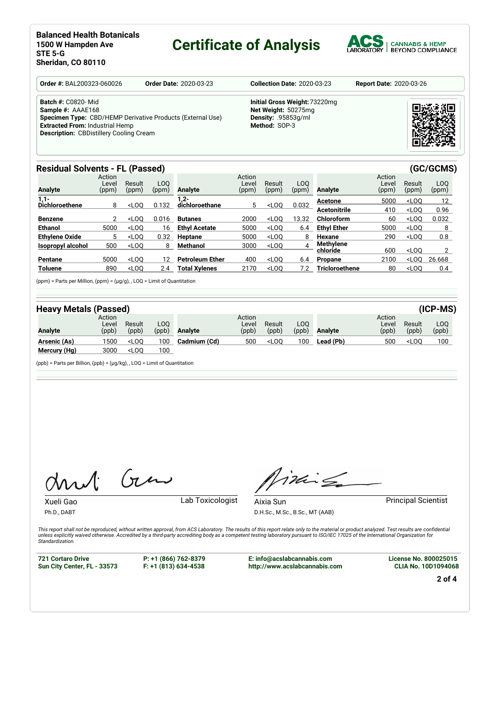# **Certificate of Analysis**



| <b>Order #: BAL200323-060026</b>                                                                                                                                                                                | <b>Order Date: 2020-03-23</b> | <b>Collection Date: 2020-03-23</b>                                                           | <b>Report Date: 2020-03-26</b> |  |  |  |
|-----------------------------------------------------------------------------------------------------------------------------------------------------------------------------------------------------------------|-------------------------------|----------------------------------------------------------------------------------------------|--------------------------------|--|--|--|
| <b>Batch #: C0820-Mid</b><br>Sample #: AAAE168<br><b>Specimen Type:</b> CBD/HEMP Derivative Products (External Use)<br><b>Extracted From: Industrial Hemp</b><br><b>Description: CBDistillery Cooling Cream</b> |                               | Initial Gross Weight: 73220mg<br>Net Weight: 50275mg<br>Density: .95853q/ml<br>Method: SOP-3 |                                |  |  |  |

### **Residual Solvents - FL (Passed) (GC/GCMS)**

| <b>Analyte</b>        | Action<br>Level<br>(ppm) | Result<br>(ppm) | LOO<br>(ppm) | Analyte                | Action<br>Level<br>(ppm) | Result<br>(ppm) | LOO<br>(ppm) | Analyte               | Action<br>Level<br>(ppm) | Result<br>(ppm) | LOO<br>(ppm) |
|-----------------------|--------------------------|-----------------|--------------|------------------------|--------------------------|-----------------|--------------|-----------------------|--------------------------|-----------------|--------------|
| $1,1-$                |                          |                 |              | $1,2-$                 |                          |                 |              | Acetone               | 5000                     | $<$ LOO         | 12           |
| <b>Dichloroethene</b> | 8                        | $<$ LOO         | 0.132        | dichloroethane         | 5                        | $<$ LOO         | 0.032        | <b>Acetonitrile</b>   | 410                      | $<$ LOO         | 0.96         |
| <b>Benzene</b>        |                          | $<$ LOO         | 0.016        | <b>Butanes</b>         | 2000                     | $<$ LOO         | 13.32        | Chloroform            | 60                       | $<$ LOO         | 0.032        |
| <b>Ethanol</b>        | 5000                     | $<$ LOO         | 16           | <b>Ethyl Acetate</b>   | 5000                     | $<$ LOO         | 6.4          | <b>Ethyl Ether</b>    | 5000                     | $<$ LOO         | 8            |
| <b>Ethylene Oxide</b> | 5                        | $<$ LOO         | 0.32         | Heptane                | 5000                     | $<$ LOO         | 8            | Hexane                | 290                      | $<$ LOO         | 0.8          |
| Isopropyl alcohol     | 500                      | $<$ LOO         | 8            | Methanol               | 3000                     | $<$ LOO         | 4            | Methvlene             |                          |                 |              |
|                       |                          |                 |              |                        |                          |                 |              | chloride              | 600                      | $<$ LOO         |              |
| Pentane               | 5000                     | $<$ LOO         | 12           | <b>Petroleum Ether</b> | 400                      | $<$ LOO         | 6.4          | Propane               | 2100                     | $<$ LOO         | 26.668       |
| <b>Toluene</b>        | 890                      | $<$ LOO         | 2.4          | Total Xvlenes          | 2170                     | $<$ LOO         | 7.2          | <b>Tricloroethene</b> | 80                       | $<$ LOO         | 0.4          |

(ppm) = Parts per Million, (ppm) = (µg/g), , LOQ = Limit of Quantitation

| <b>Heavy Metals (Passed)</b> |                          |                                                                                                         |              |                |                          |                                                                                                        |               |                |                         |                 | $(ICP-MS)$   |
|------------------------------|--------------------------|---------------------------------------------------------------------------------------------------------|--------------|----------------|--------------------------|--------------------------------------------------------------------------------------------------------|---------------|----------------|-------------------------|-----------------|--------------|
| Analyte                      | Action<br>Level<br>(ppb) | Result<br>(ppb)                                                                                         | LOO<br>(ppb) | <b>Analyte</b> | Action<br>Level<br>(ppb) | Result<br>(ppb)                                                                                        | LOO.<br>(ppb) | <b>Analyte</b> | Action<br>Leve<br>(ppb) | Result<br>(ppb) | LOO<br>(ppb) |
| Arsenic (As)                 | 1500                     | $<$ LOO                                                                                                 | 100          | Cadmium (Cd)   | 500                      | <l00< th=""><th>100</th><th>Lead (Pb)</th><th>500</th><th><math>&lt;</math>LOO</th><th>100</th></l00<> | 100           | Lead (Pb)      | 500                     | $<$ LOO         | 100          |
| Mercury (Hg)                 | 3000                     | <loq< th=""><th>100</th><th></th><th></th><th></th><th></th><th></th><th></th><th></th><th></th></loq<> | 100          |                |                          |                                                                                                        |               |                |                         |                 |              |

(ppb) = Parts per Billion, (ppb) = (µg/kg), , LOQ = Limit of Quantitation

Gen

Xueli Gao **Lab Toxicologist** 

Ph.D., DABT

inis

Aixia Sun **Principal Scientist** 

D.H.Sc., M.Sc., B.Sc., MT (AAB)

This report shall not be reproduced, without written approval, from ACS Laboratory. The results of this report relate only to the material or product analyzed. Test results are confidential<br>unless explicitly waived otherwi *Standardization.*

**721 Cortaro Drive Sun City Center, FL - 33573**

**P: +1 (866) 762-8379 F: +1 (813) 634-4538**

**E: info@acslabcannabis.com http://www.acslabcannabis.com** **License No. 800025015 CLIA No. 10D1094068**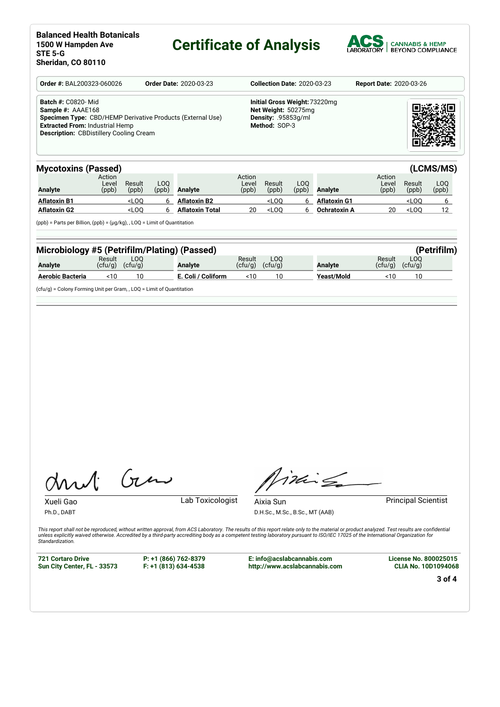# **Certificate of Analysis**



| <b>Order #: BAL200323-060026</b>                                                                                                                                                                                | <b>Order Date: 2020-03-23</b> | <b>Collection Date: 2020-03-23</b>                                                           | <b>Report Date: 2020-03-26</b> |
|-----------------------------------------------------------------------------------------------------------------------------------------------------------------------------------------------------------------|-------------------------------|----------------------------------------------------------------------------------------------|--------------------------------|
| <b>Batch #: C0820-Mid</b><br>Sample #: AAAE168<br><b>Specimen Type:</b> CBD/HEMP Derivative Products (External Use)<br><b>Extracted From: Industrial Hemp</b><br><b>Description: CBDistillery Cooling Cream</b> |                               | Initial Gross Weight: 73220mg<br>Net Weight: 50275mg<br>Density: .95853q/ml<br>Method: SOP-3 |                                |

| <b>Mycotoxins (Passed)</b> |                          |                                                                                                                                                                                      |              |                        |                          |                 |              |                     |                          |                 | (LCMS/MS)    |
|----------------------------|--------------------------|--------------------------------------------------------------------------------------------------------------------------------------------------------------------------------------|--------------|------------------------|--------------------------|-----------------|--------------|---------------------|--------------------------|-----------------|--------------|
| Analyte                    | Action<br>∟evel<br>(ppb) | Result<br>(ppb)                                                                                                                                                                      | LOO<br>(ppb) | Analyte                | Action<br>Level<br>(ppb) | Result<br>(ppb) | LOO<br>(ppb) | Analyte             | Action<br>Level<br>(ppb) | Result<br>(ppb) | LOQ<br>(ppb) |
| <b>Aflatoxin B1</b>        |                          | <loo< th=""><th></th><th><b>Aflatoxin B2</b></th><th></th><th><math>&lt;</math>LOO</th><th></th><th><b>Aflatoxin G1</b></th><th></th><th><math>&lt;</math>LOO</th><th></th></loo<>   |              | <b>Aflatoxin B2</b>    |                          | $<$ LOO         |              | <b>Aflatoxin G1</b> |                          | $<$ LOO         |              |
| <b>Aflatoxin G2</b>        |                          | <loo< th=""><th></th><th><b>Aflatoxin Total</b></th><th>20</th><th><math>&lt;</math>LOO</th><th></th><th>Ochratoxin A</th><th>20</th><th><math>&lt;</math>LOO</th><th>12</th></loo<> |              | <b>Aflatoxin Total</b> | 20                       | $<$ LOO         |              | Ochratoxin A        | 20                       | $<$ LOO         | 12           |

(ppb) = Parts per Billion, (ppb) = (µg/kg), , LOQ = Limit of Quantitation

| Microbiology #5 (Petrifilm/Plating) (Passed)<br>(Petrifilm) |                   |                |  |                    |                   |                |  |                |                   |                |  |
|-------------------------------------------------------------|-------------------|----------------|--|--------------------|-------------------|----------------|--|----------------|-------------------|----------------|--|
| Analyte                                                     | Result<br>(ctu/q) | LOO<br>(ctu/q) |  | <b>Analyte</b>     | Result<br>(ctu/q) | LOO<br>(ctu/q) |  | <b>Analyte</b> | Result<br>(ctu/q) | LOO<br>(ctu/a) |  |
| Aerobic Bacteria                                            | <10               | 10             |  | E. Coli / Coliform | <10               | 10             |  | Yeast/Mold     | <10               | 10             |  |

(cfu/g) = Colony Forming Unit per Gram, , LOQ = Limit of Quantitation

Gen

Xueli Gao **Lab Toxicologist** 

Aixia Sun **Principal Scientist** 

Timile

Ph.D., DABT

D.H.Sc., M.Sc., B.Sc., MT (AAB)

This report shall not be reproduced, without written approval, from ACS Laboratory. The results of this report relate only to the material or product analyzed. Test results are confidential<br>unless explicitly waived otherwi *Standardization.*

**721 Cortaro Drive Sun City Center, FL - 33573** **P: +1 (866) 762-8379 F: +1 (813) 634-4538**

**E: info@acslabcannabis.com http://www.acslabcannabis.com** **License No. 800025015 CLIA No. 10D1094068**